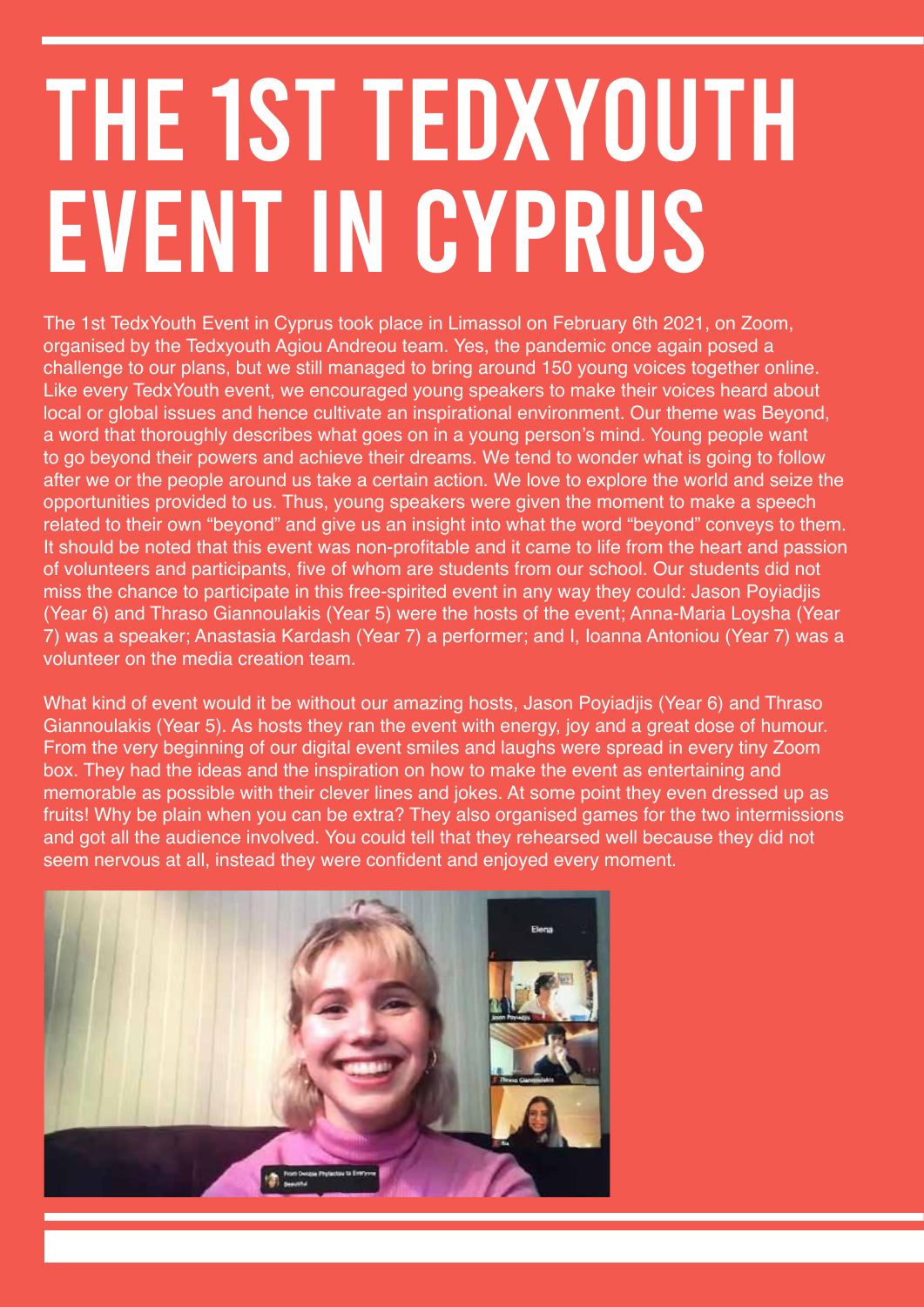## THE 1ST TEDXYOUTH EVENT IN CYPRUS

The 1st TedxYouth Event in Cyprus took place in Limassol on February 6th 2021, on Zoom, organised by the Tedxyouth Agiou Andreou team. Yes, the pandemic once again posed a challenge to our plans, but we still managed to bring around 150 young voices together online. Like every TedxYouth event, we encouraged young speakers to make their voices heard about local or global issues and hence cultivate an inspirational environment. Our theme was Beyond, a word that thoroughly describes what goes on in a young person's mind. Young people want to go beyond their powers and achieve their dreams. We tend to wonder what is going to follow after we or the people around us take a certain action. We love to explore the world and seize the opportunities provided to us. Thus, young speakers were given the moment to make a speech related to their own "beyond" and give us an insight into what the word "beyond" conveys to them. It should be noted that this event was non-profitable and it came to life from the heart and passion of volunteers and participants, five of whom are students from our school. Our students did not miss the chance to participate in this free-spirited event in any way they could: Jason Poyiadjis (Year 6) and Thraso Giannoulakis (Year 5) were the hosts of the event; Anna-Maria Loysha (Year 7) was a speaker; Anastasia Kardash (Year 7) a performer; and I, Ioanna Antoniou (Year 7) was a volunteer on the media creation team.

What kind of event would it be without our amazing hosts, Jason Poyiadjis (Year 6) and Thraso Giannoulakis (Year 5). As hosts they ran the event with energy, joy and a great dose of humour. From the very beginning of our digital event smiles and laughs were spread in every tiny Zoom box. They had the ideas and the inspiration on how to make the event as entertaining and memorable as possible with their clever lines and jokes. At some point they even dressed up as fruits! Why be plain when you can be extra? They also organised games for the two intermissions and got all the audience involved. You could tell that they rehearsed well because they did not seem nervous at all, instead they were confident and enjoyed every moment.

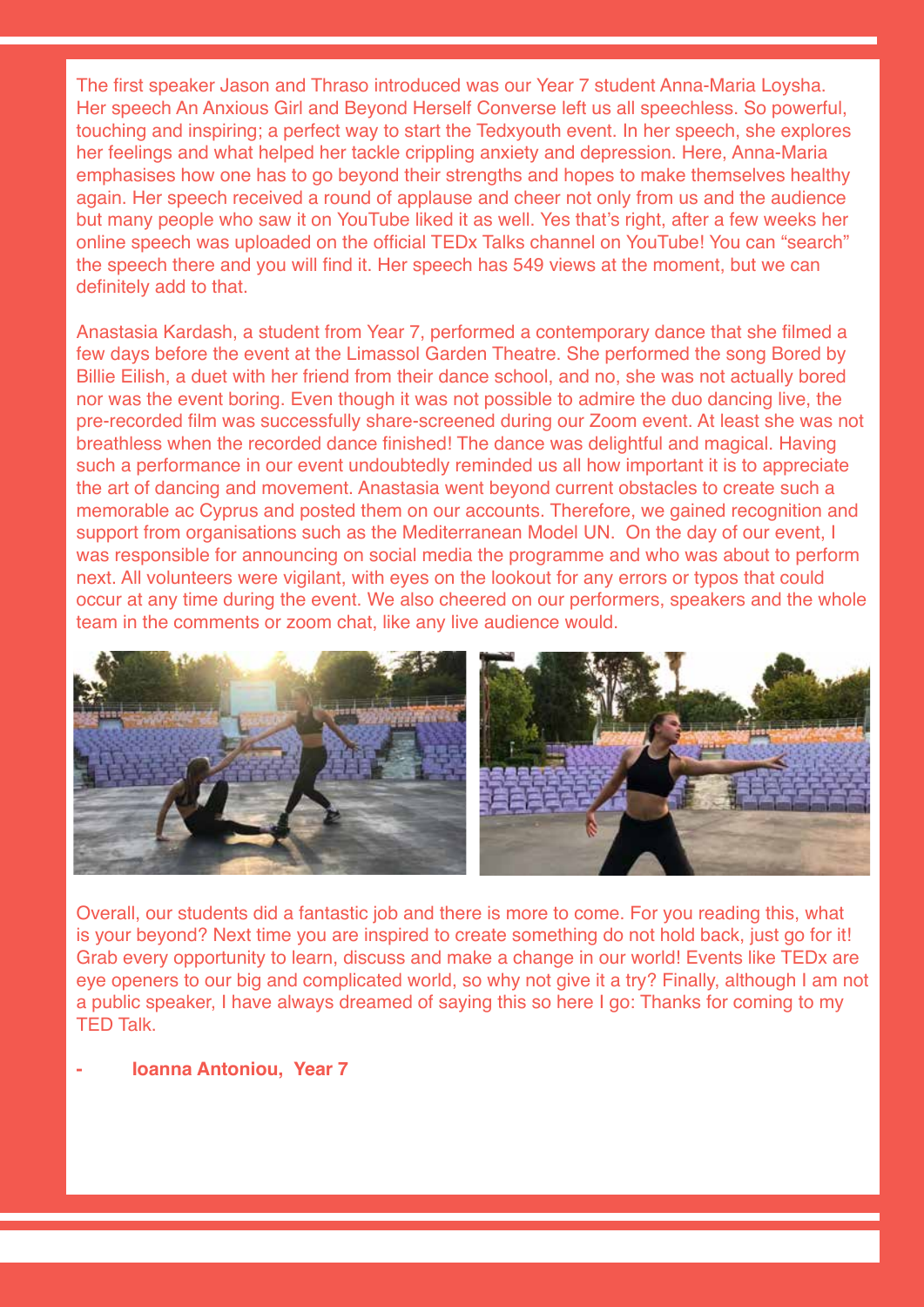The first speaker Jason and Thraso introduced was our Year 7 student Anna-Maria Loysha. Her speech An Anxious Girl and Beyond Herself Converse left us all speechless. So powerful, touching and inspiring; a perfect way to start the Tedxyouth event. In her speech, she explores her feelings and what helped her tackle crippling anxiety and depression. Here, Anna-Maria emphasises how one has to go beyond their strengths and hopes to make themselves healthy again. Her speech received a round of applause and cheer not only from us and the audience but many people who saw it on YouTube liked it as well. Yes that's right, after a few weeks her online speech was uploaded on the official TEDx Talks channel on YouTube! You can "search" the speech there and you will find it. Her speech has 549 views at the moment, but we can definitely add to that.

Anastasia Kardash, a student from Year 7, performed a contemporary dance that she filmed a few days before the event at the Limassol Garden Theatre. She performed the song Bored by Billie Eilish, a duet with her friend from their dance school, and no, she was not actually bored nor was the event boring. Even though it was not possible to admire the duo dancing live, the pre-recorded film was successfully share-screened during our Zoom event. At least she was not breathless when the recorded dance finished! The dance was delightful and magical. Having such a performance in our event undoubtedly reminded us all how important it is to appreciate the art of dancing and movement. Anastasia went beyond current obstacles to create such a memorable ac Cyprus and posted them on our accounts. Therefore, we gained recognition and support from organisations such as the Mediterranean Model UN. On the day of our event, I was responsible for announcing on social media the programme and who was about to perform next. All volunteers were vigilant, with eyes on the lookout for any errors or typos that could occur at any time during the event. We also cheered on our performers, speakers and the whole team in the comments or zoom chat, like any live audience would.



Overall, our students did a fantastic job and there is more to come. For you reading this, what is your beyond? Next time you are inspired to create something do not hold back, just go for it! Grab every opportunity to learn, discuss and make a change in our world! Events like TEDx are eye openers to our big and complicated world, so why not give it a try? Finally, although I am not a public speaker, I have always dreamed of saying this so here I go: Thanks for coming to my TED Talk.

## **- Ioanna Antoniou, Year 7**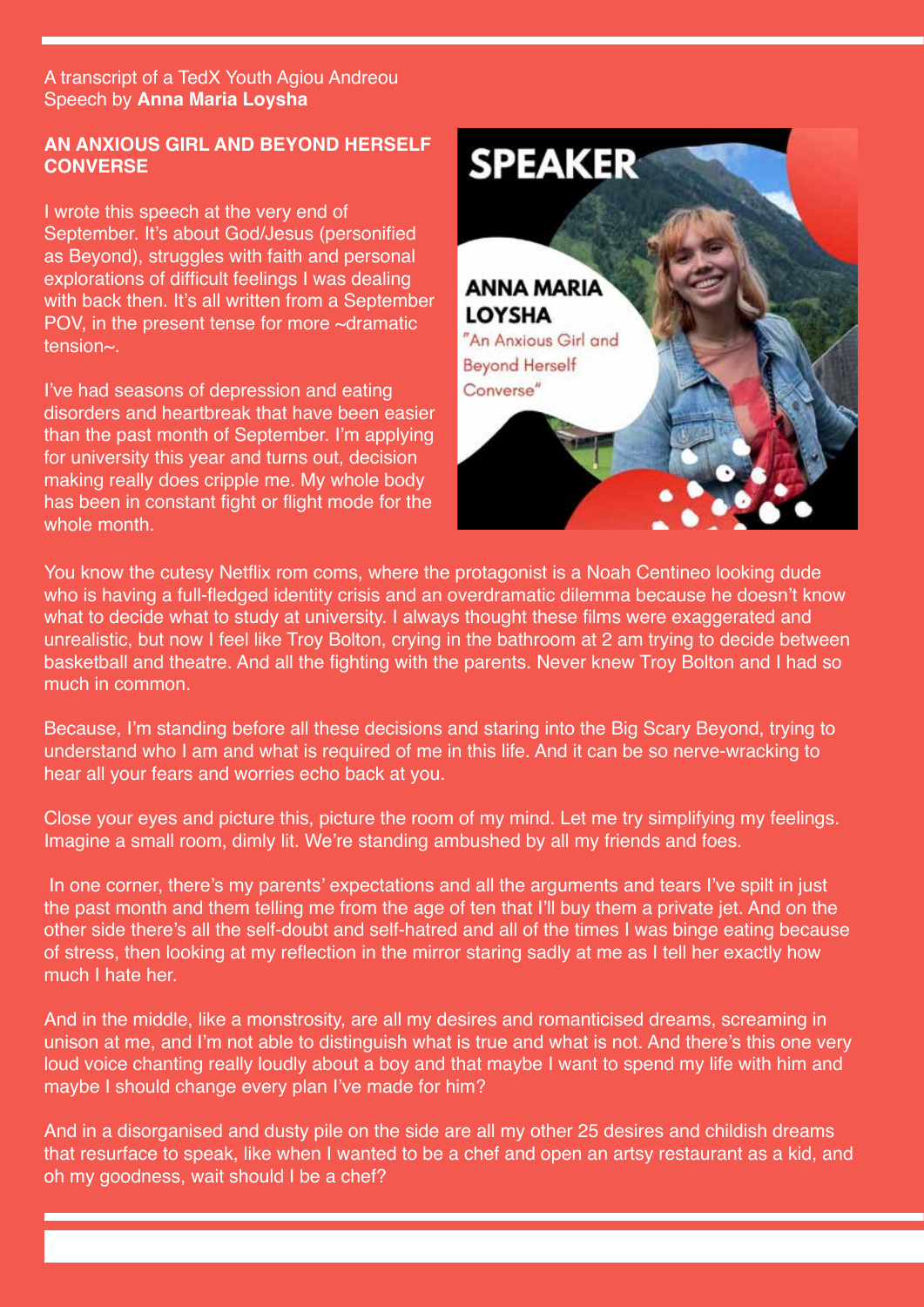A transcript of a TedX Youth Agiou Andreou Speech by **Anna Maria Loysha** 

## **AN ANXIOUS GIRL AND BEYOND HERSELF CONVERSE**

I wrote this speech at the very end of September. It's about God/Jesus (personified as Beyond), struggles with faith and personal explorations of difficult feelings I was dealing with back then. It's all written from a September POV, in the present tense for more ~dramatic tension~.

I've had seasons of depression and eating disorders and heartbreak that have been easier than the past month of September. I'm applying for university this year and turns out, decision making really does cripple me. My whole body has been in constant fight or flight mode for the whole month.



You know the cutesy Netflix rom coms, where the protagonist is a Noah Centineo looking dude who is having a full-fledged identity crisis and an overdramatic dilemma because he doesn't know what to decide what to study at university. I always thought these films were exaggerated and unrealistic, but now I feel like Troy Bolton, crying in the bathroom at 2 am trying to decide between basketball and theatre. And all the fighting with the parents. Never knew Troy Bolton and I had so much in common.

Because, I'm standing before all these decisions and staring into the Big Scary Beyond, trying to understand who I am and what is required of me in this life. And it can be so nerve-wracking to hear all your fears and worries echo back at you.

Close your eyes and picture this, picture the room of my mind. Let me try simplifying my feelings. Imagine a small room, dimly lit. We're standing ambushed by all my friends and foes.

In one corner, there's my parents' expectations and all the arguments and tears I've spilt in just the past month and them telling me from the age of ten that I'll buy them a private jet. And on the other side there's all the self-doubt and self-hatred and all of the times I was binge eating because of stress, then looking at my reflection in the mirror staring sadly at me as I tell her exactly how much I hate her.

And in the middle, like a monstrosity, are all my desires and romanticised dreams, screaming in unison at me, and I'm not able to distinguish what is true and what is not. And there's this one very loud voice chanting really loudly about a boy and that maybe I want to spend my life with him and maybe I should change every plan I've made for him?

And in a disorganised and dusty pile on the side are all my other 25 desires and childish dreams that resurface to speak, like when I wanted to be a chef and open an artsy restaurant as a kid, and oh my goodness, wait should I be a chef?